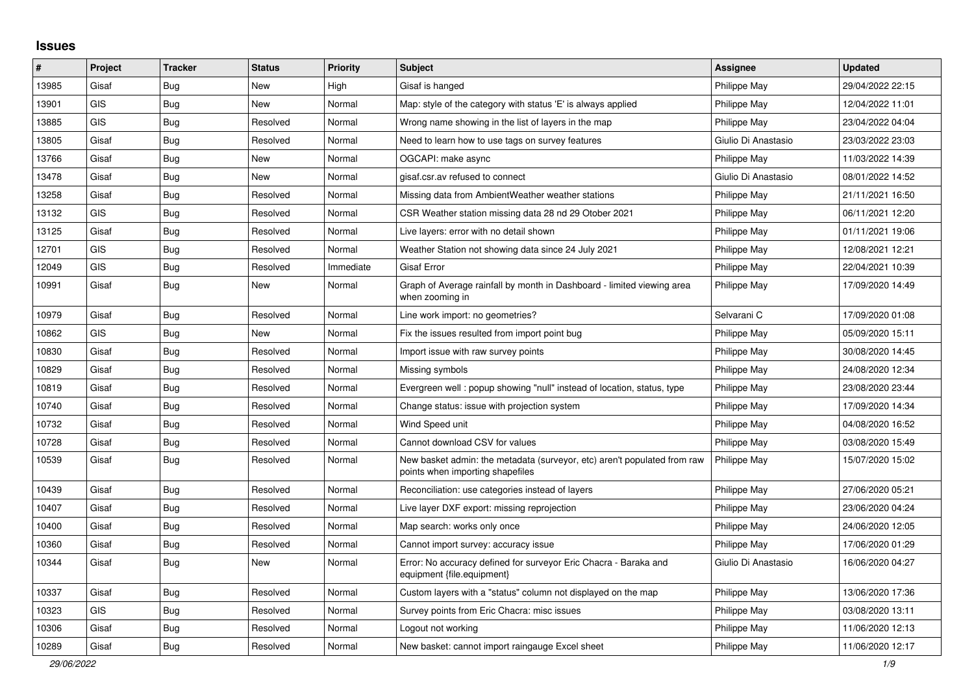## **Issues**

| #     | Project    | <b>Tracker</b> | <b>Status</b> | <b>Priority</b> | <b>Subject</b>                                                                                               | <b>Assignee</b>     | <b>Updated</b>   |
|-------|------------|----------------|---------------|-----------------|--------------------------------------------------------------------------------------------------------------|---------------------|------------------|
| 13985 | Gisaf      | Bug            | <b>New</b>    | High            | Gisaf is hanged                                                                                              | Philippe May        | 29/04/2022 22:15 |
| 13901 | <b>GIS</b> | <b>Bug</b>     | <b>New</b>    | Normal          | Map: style of the category with status 'E' is always applied                                                 | Philippe May        | 12/04/2022 11:01 |
| 13885 | <b>GIS</b> | Bug            | Resolved      | Normal          | Wrong name showing in the list of layers in the map                                                          | Philippe May        | 23/04/2022 04:04 |
| 13805 | Gisaf      | Bug            | Resolved      | Normal          | Need to learn how to use tags on survey features                                                             | Giulio Di Anastasio | 23/03/2022 23:03 |
| 13766 | Gisaf      | <b>Bug</b>     | <b>New</b>    | Normal          | OGCAPI: make async                                                                                           | Philippe May        | 11/03/2022 14:39 |
| 13478 | Gisaf      | Bug            | <b>New</b>    | Normal          | gisaf.csr.av refused to connect                                                                              | Giulio Di Anastasio | 08/01/2022 14:52 |
| 13258 | Gisaf      | <b>Bug</b>     | Resolved      | Normal          | Missing data from AmbientWeather weather stations                                                            | Philippe May        | 21/11/2021 16:50 |
| 13132 | <b>GIS</b> | <b>Bug</b>     | Resolved      | Normal          | CSR Weather station missing data 28 nd 29 Otober 2021                                                        | Philippe May        | 06/11/2021 12:20 |
| 13125 | Gisaf      | <b>Bug</b>     | Resolved      | Normal          | Live layers: error with no detail shown                                                                      | Philippe May        | 01/11/2021 19:06 |
| 12701 | <b>GIS</b> | Bug            | Resolved      | Normal          | Weather Station not showing data since 24 July 2021                                                          | Philippe May        | 12/08/2021 12:21 |
| 12049 | <b>GIS</b> | Bug            | Resolved      | Immediate       | Gisaf Error                                                                                                  | Philippe May        | 22/04/2021 10:39 |
| 10991 | Gisaf      | <b>Bug</b>     | <b>New</b>    | Normal          | Graph of Average rainfall by month in Dashboard - limited viewing area<br>when zooming in                    | Philippe May        | 17/09/2020 14:49 |
| 10979 | Gisaf      | Bug            | Resolved      | Normal          | Line work import: no geometries?                                                                             | Selvarani C         | 17/09/2020 01:08 |
| 10862 | <b>GIS</b> | Bug            | New           | Normal          | Fix the issues resulted from import point bug                                                                | Philippe May        | 05/09/2020 15:11 |
| 10830 | Gisaf      | Bug            | Resolved      | Normal          | Import issue with raw survey points                                                                          | Philippe May        | 30/08/2020 14:45 |
| 10829 | Gisaf      | <b>Bug</b>     | Resolved      | Normal          | Missing symbols                                                                                              | Philippe May        | 24/08/2020 12:34 |
| 10819 | Gisaf      | Bug            | Resolved      | Normal          | Evergreen well: popup showing "null" instead of location, status, type                                       | Philippe May        | 23/08/2020 23:44 |
| 10740 | Gisaf      | <b>Bug</b>     | Resolved      | Normal          | Change status: issue with projection system                                                                  | Philippe May        | 17/09/2020 14:34 |
| 10732 | Gisaf      | Bug            | Resolved      | Normal          | Wind Speed unit                                                                                              | Philippe May        | 04/08/2020 16:52 |
| 10728 | Gisaf      | <b>Bug</b>     | Resolved      | Normal          | Cannot download CSV for values                                                                               | Philippe May        | 03/08/2020 15:49 |
| 10539 | Gisaf      | Bug            | Resolved      | Normal          | New basket admin: the metadata (surveyor, etc) aren't populated from raw<br>points when importing shapefiles | Philippe May        | 15/07/2020 15:02 |
| 10439 | Gisaf      | <b>Bug</b>     | Resolved      | Normal          | Reconciliation: use categories instead of layers                                                             | Philippe May        | 27/06/2020 05:21 |
| 10407 | Gisaf      | Bug            | Resolved      | Normal          | Live layer DXF export: missing reprojection                                                                  | Philippe May        | 23/06/2020 04:24 |
| 10400 | Gisaf      | <b>Bug</b>     | Resolved      | Normal          | Map search: works only once                                                                                  | Philippe May        | 24/06/2020 12:05 |
| 10360 | Gisaf      | Bug            | Resolved      | Normal          | Cannot import survey: accuracy issue                                                                         | Philippe May        | 17/06/2020 01:29 |
| 10344 | Gisaf      | <b>Bug</b>     | <b>New</b>    | Normal          | Error: No accuracy defined for surveyor Eric Chacra - Baraka and<br>equipment {file.equipment}               | Giulio Di Anastasio | 16/06/2020 04:27 |
| 10337 | Gisaf      | Bug            | Resolved      | Normal          | Custom layers with a "status" column not displayed on the map                                                | Philippe May        | 13/06/2020 17:36 |
| 10323 | <b>GIS</b> | <b>Bug</b>     | Resolved      | Normal          | Survey points from Eric Chacra: misc issues                                                                  | Philippe May        | 03/08/2020 13:11 |
| 10306 | Gisaf      | Bug            | Resolved      | Normal          | Logout not working                                                                                           | Philippe May        | 11/06/2020 12:13 |
| 10289 | Gisaf      | <b>Bug</b>     | Resolved      | Normal          | New basket: cannot import raingauge Excel sheet                                                              | Philippe May        | 11/06/2020 12:17 |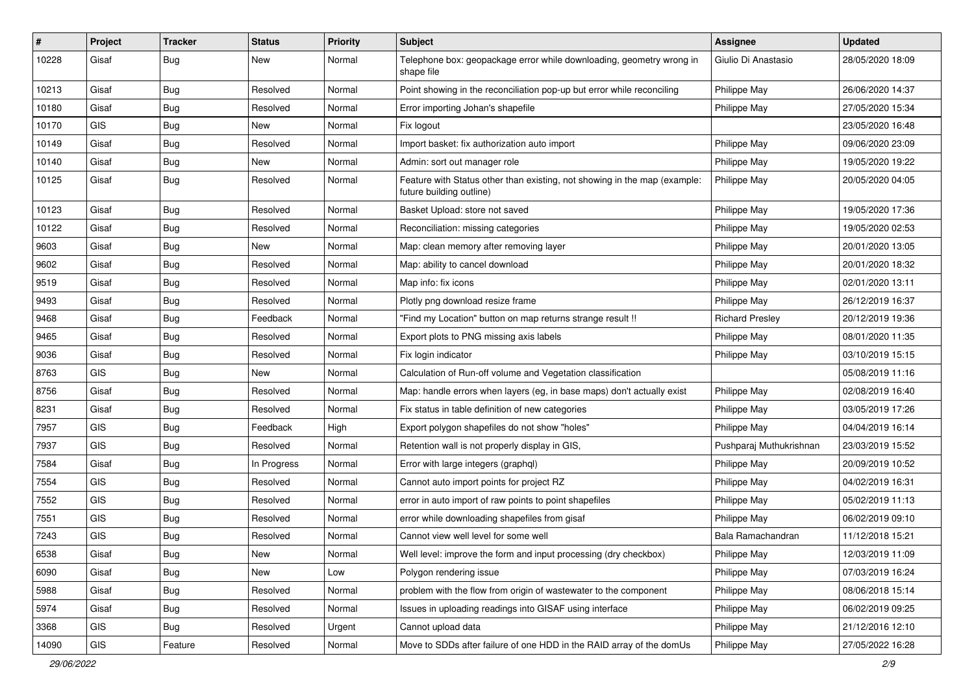| #     | Project    | <b>Tracker</b> | <b>Status</b> | Priority | Subject                                                                                               | Assignee                | <b>Updated</b>   |
|-------|------------|----------------|---------------|----------|-------------------------------------------------------------------------------------------------------|-------------------------|------------------|
| 10228 | Gisaf      | <b>Bug</b>     | New           | Normal   | Telephone box: geopackage error while downloading, geometry wrong in<br>shape file                    | Giulio Di Anastasio     | 28/05/2020 18:09 |
| 10213 | Gisaf      | <b>Bug</b>     | Resolved      | Normal   | Point showing in the reconciliation pop-up but error while reconciling                                | Philippe May            | 26/06/2020 14:37 |
| 10180 | Gisaf      | <b>Bug</b>     | Resolved      | Normal   | Error importing Johan's shapefile                                                                     | Philippe May            | 27/05/2020 15:34 |
| 10170 | <b>GIS</b> | <b>Bug</b>     | <b>New</b>    | Normal   | Fix logout                                                                                            |                         | 23/05/2020 16:48 |
| 10149 | Gisaf      | Bug            | Resolved      | Normal   | Import basket: fix authorization auto import                                                          | Philippe May            | 09/06/2020 23:09 |
| 10140 | Gisaf      | Bug            | New           | Normal   | Admin: sort out manager role                                                                          | Philippe May            | 19/05/2020 19:22 |
| 10125 | Gisaf      | Bug            | Resolved      | Normal   | Feature with Status other than existing, not showing in the map (example:<br>future building outline) | <b>Philippe May</b>     | 20/05/2020 04:05 |
| 10123 | Gisaf      | <b>Bug</b>     | Resolved      | Normal   | Basket Upload: store not saved                                                                        | Philippe May            | 19/05/2020 17:36 |
| 10122 | Gisaf      | Bug            | Resolved      | Normal   | Reconciliation: missing categories                                                                    | Philippe May            | 19/05/2020 02:53 |
| 9603  | Gisaf      | Bug            | New           | Normal   | Map: clean memory after removing layer                                                                | <b>Philippe May</b>     | 20/01/2020 13:05 |
| 9602  | Gisaf      | Bug            | Resolved      | Normal   | Map: ability to cancel download                                                                       | Philippe May            | 20/01/2020 18:32 |
| 9519  | Gisaf      | Bug            | Resolved      | Normal   | Map info: fix icons                                                                                   | Philippe May            | 02/01/2020 13:11 |
| 9493  | Gisaf      | <b>Bug</b>     | Resolved      | Normal   | Plotly png download resize frame                                                                      | Philippe May            | 26/12/2019 16:37 |
| 9468  | Gisaf      | <b>Bug</b>     | Feedback      | Normal   | "Find my Location" button on map returns strange result !!                                            | <b>Richard Presley</b>  | 20/12/2019 19:36 |
| 9465  | Gisaf      | Bug            | Resolved      | Normal   | Export plots to PNG missing axis labels                                                               | Philippe May            | 08/01/2020 11:35 |
| 9036  | Gisaf      | <b>Bug</b>     | Resolved      | Normal   | Fix login indicator                                                                                   | Philippe May            | 03/10/2019 15:15 |
| 8763  | <b>GIS</b> | <b>Bug</b>     | New           | Normal   | Calculation of Run-off volume and Vegetation classification                                           |                         | 05/08/2019 11:16 |
| 8756  | Gisaf      | <b>Bug</b>     | Resolved      | Normal   | Map: handle errors when layers (eg, in base maps) don't actually exist                                | Philippe May            | 02/08/2019 16:40 |
| 8231  | Gisaf      | <b>Bug</b>     | Resolved      | Normal   | Fix status in table definition of new categories                                                      | Philippe May            | 03/05/2019 17:26 |
| 7957  | <b>GIS</b> | <b>Bug</b>     | Feedback      | High     | Export polygon shapefiles do not show "holes"                                                         | Philippe May            | 04/04/2019 16:14 |
| 7937  | GIS        | <b>Bug</b>     | Resolved      | Normal   | Retention wall is not properly display in GIS,                                                        | Pushparaj Muthukrishnan | 23/03/2019 15:52 |
| 7584  | Gisaf      | <b>Bug</b>     | In Progress   | Normal   | Error with large integers (graphql)                                                                   | Philippe May            | 20/09/2019 10:52 |
| 7554  | GIS        | <b>Bug</b>     | Resolved      | Normal   | Cannot auto import points for project RZ                                                              | Philippe May            | 04/02/2019 16:31 |
| 7552  | <b>GIS</b> | <b>Bug</b>     | Resolved      | Normal   | error in auto import of raw points to point shapefiles                                                | Philippe May            | 05/02/2019 11:13 |
| 7551  | GIS        | Bug            | Resolved      | Normal   | error while downloading shapefiles from gisaf                                                         | Philippe May            | 06/02/2019 09:10 |
| 7243  | GIS        | Bug            | Resolved      | Normal   | Cannot view well level for some well                                                                  | Bala Ramachandran       | 11/12/2018 15:21 |
| 6538  | Gisaf      | Bug            | New           | Normal   | Well level: improve the form and input processing (dry checkbox)                                      | Philippe May            | 12/03/2019 11:09 |
| 6090  | Gisaf      | Bug            | New           | Low      | Polygon rendering issue                                                                               | Philippe May            | 07/03/2019 16:24 |
| 5988  | Gisaf      | <b>Bug</b>     | Resolved      | Normal   | problem with the flow from origin of wastewater to the component                                      | Philippe May            | 08/06/2018 15:14 |
| 5974  | Gisaf      | Bug            | Resolved      | Normal   | Issues in uploading readings into GISAF using interface                                               | Philippe May            | 06/02/2019 09:25 |
| 3368  | <b>GIS</b> | <b>Bug</b>     | Resolved      | Urgent   | Cannot upload data                                                                                    | Philippe May            | 21/12/2016 12:10 |
| 14090 | GIS        | Feature        | Resolved      | Normal   | Move to SDDs after failure of one HDD in the RAID array of the domUs                                  | Philippe May            | 27/05/2022 16:28 |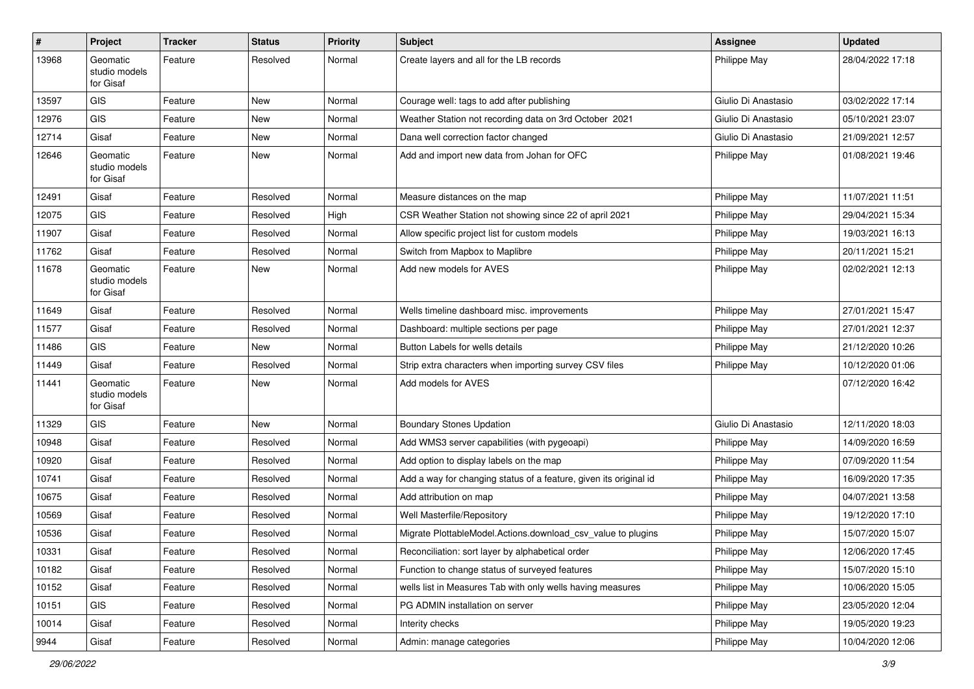| #     | Project                                | Tracker | <b>Status</b> | <b>Priority</b> | Subject                                                           | <b>Assignee</b>     | <b>Updated</b>   |
|-------|----------------------------------------|---------|---------------|-----------------|-------------------------------------------------------------------|---------------------|------------------|
| 13968 | Geomatic<br>studio models<br>for Gisaf | Feature | Resolved      | Normal          | Create layers and all for the LB records                          | Philippe May        | 28/04/2022 17:18 |
| 13597 | <b>GIS</b>                             | Feature | New           | Normal          | Courage well: tags to add after publishing                        | Giulio Di Anastasio | 03/02/2022 17:14 |
| 12976 | <b>GIS</b>                             | Feature | <b>New</b>    | Normal          | Weather Station not recording data on 3rd October 2021            | Giulio Di Anastasio | 05/10/2021 23:07 |
| 12714 | Gisaf                                  | Feature | New           | Normal          | Dana well correction factor changed                               | Giulio Di Anastasio | 21/09/2021 12:57 |
| 12646 | Geomatic<br>studio models<br>for Gisaf | Feature | New           | Normal          | Add and import new data from Johan for OFC                        | Philippe May        | 01/08/2021 19:46 |
| 12491 | Gisaf                                  | Feature | Resolved      | Normal          | Measure distances on the map                                      | Philippe May        | 11/07/2021 11:51 |
| 12075 | <b>GIS</b>                             | Feature | Resolved      | High            | CSR Weather Station not showing since 22 of april 2021            | Philippe May        | 29/04/2021 15:34 |
| 11907 | Gisaf                                  | Feature | Resolved      | Normal          | Allow specific project list for custom models                     | Philippe May        | 19/03/2021 16:13 |
| 11762 | Gisaf                                  | Feature | Resolved      | Normal          | Switch from Mapbox to Maplibre                                    | Philippe May        | 20/11/2021 15:21 |
| 11678 | Geomatic<br>studio models<br>for Gisaf | Feature | New           | Normal          | Add new models for AVES                                           | Philippe May        | 02/02/2021 12:13 |
| 11649 | Gisaf                                  | Feature | Resolved      | Normal          | Wells timeline dashboard misc. improvements                       | Philippe May        | 27/01/2021 15:47 |
| 11577 | Gisaf                                  | Feature | Resolved      | Normal          | Dashboard: multiple sections per page                             | Philippe May        | 27/01/2021 12:37 |
| 11486 | <b>GIS</b>                             | Feature | New           | Normal          | Button Labels for wells details                                   | Philippe May        | 21/12/2020 10:26 |
| 11449 | Gisaf                                  | Feature | Resolved      | Normal          | Strip extra characters when importing survey CSV files            | Philippe May        | 10/12/2020 01:06 |
| 11441 | Geomatic<br>studio models<br>for Gisaf | Feature | New           | Normal          | Add models for AVES                                               |                     | 07/12/2020 16:42 |
| 11329 | <b>GIS</b>                             | Feature | New           | Normal          | <b>Boundary Stones Updation</b>                                   | Giulio Di Anastasio | 12/11/2020 18:03 |
| 10948 | Gisaf                                  | Feature | Resolved      | Normal          | Add WMS3 server capabilities (with pygeoapi)                      | Philippe May        | 14/09/2020 16:59 |
| 10920 | Gisaf                                  | Feature | Resolved      | Normal          | Add option to display labels on the map                           | Philippe May        | 07/09/2020 11:54 |
| 10741 | Gisaf                                  | Feature | Resolved      | Normal          | Add a way for changing status of a feature, given its original id | Philippe May        | 16/09/2020 17:35 |
| 10675 | Gisaf                                  | Feature | Resolved      | Normal          | Add attribution on map                                            | Philippe May        | 04/07/2021 13:58 |
| 10569 | Gisaf                                  | Feature | Resolved      | Normal          | Well Masterfile/Repository                                        | Philippe May        | 19/12/2020 17:10 |
| 10536 | Gisaf                                  | Feature | Resolved      | Normal          | Migrate PlottableModel.Actions.download csv value to plugins      | Philippe May        | 15/07/2020 15:07 |
| 10331 | Gisaf                                  | Feature | Resolved      | Normal          | Reconciliation: sort layer by alphabetical order                  | Philippe May        | 12/06/2020 17:45 |
| 10182 | Gisaf                                  | Feature | Resolved      | Normal          | Function to change status of surveyed features                    | Philippe May        | 15/07/2020 15:10 |
| 10152 | Gisaf                                  | Feature | Resolved      | Normal          | wells list in Measures Tab with only wells having measures        | Philippe May        | 10/06/2020 15:05 |
| 10151 | GIS                                    | Feature | Resolved      | Normal          | PG ADMIN installation on server                                   | Philippe May        | 23/05/2020 12:04 |
| 10014 | Gisaf                                  | Feature | Resolved      | Normal          | Interity checks                                                   | Philippe May        | 19/05/2020 19:23 |
| 9944  | Gisaf                                  | Feature | Resolved      | Normal          | Admin: manage categories                                          | Philippe May        | 10/04/2020 12:06 |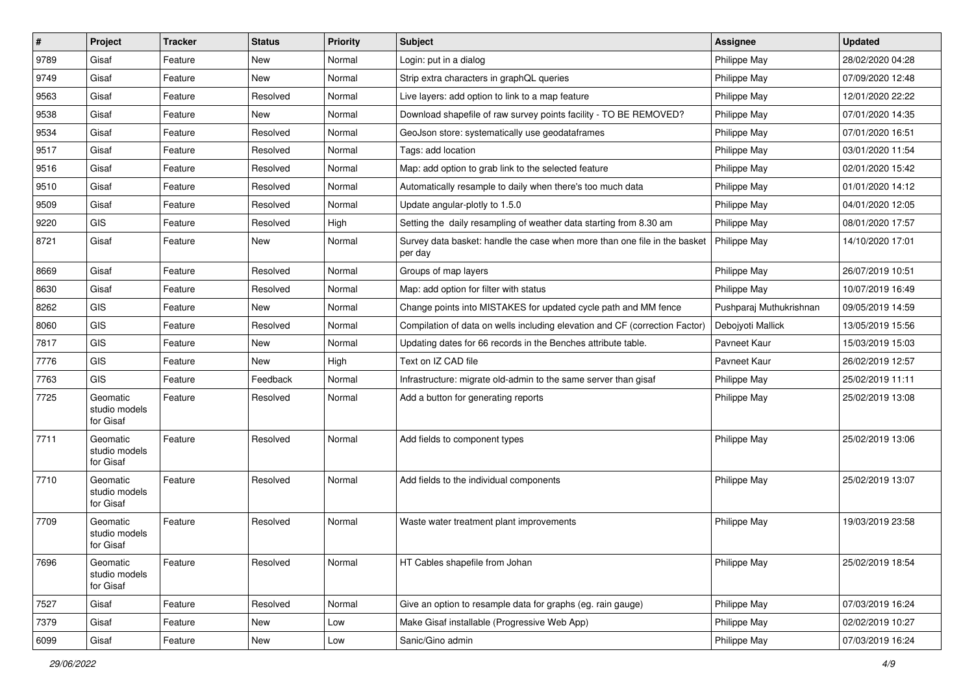| $\sharp$ | Project                                | <b>Tracker</b> | <b>Status</b> | <b>Priority</b> | Subject                                                                              | <b>Assignee</b>         | <b>Updated</b>   |
|----------|----------------------------------------|----------------|---------------|-----------------|--------------------------------------------------------------------------------------|-------------------------|------------------|
| 9789     | Gisaf                                  | Feature        | New           | Normal          | Login: put in a dialog                                                               | Philippe May            | 28/02/2020 04:28 |
| 9749     | Gisaf                                  | Feature        | New           | Normal          | Strip extra characters in graphQL queries                                            | Philippe May            | 07/09/2020 12:48 |
| 9563     | Gisaf                                  | Feature        | Resolved      | Normal          | Live layers: add option to link to a map feature                                     | Philippe May            | 12/01/2020 22:22 |
| 9538     | Gisaf                                  | Feature        | New           | Normal          | Download shapefile of raw survey points facility - TO BE REMOVED?                    | Philippe May            | 07/01/2020 14:35 |
| 9534     | Gisaf                                  | Feature        | Resolved      | Normal          | GeoJson store: systematically use geodataframes                                      | Philippe May            | 07/01/2020 16:51 |
| 9517     | Gisaf                                  | Feature        | Resolved      | Normal          | Tags: add location                                                                   | Philippe May            | 03/01/2020 11:54 |
| 9516     | Gisaf                                  | Feature        | Resolved      | Normal          | Map: add option to grab link to the selected feature                                 | Philippe May            | 02/01/2020 15:42 |
| 9510     | Gisaf                                  | Feature        | Resolved      | Normal          | Automatically resample to daily when there's too much data                           | Philippe May            | 01/01/2020 14:12 |
| 9509     | Gisaf                                  | Feature        | Resolved      | Normal          | Update angular-plotly to 1.5.0                                                       | Philippe May            | 04/01/2020 12:05 |
| 9220     | GIS                                    | Feature        | Resolved      | High            | Setting the daily resampling of weather data starting from 8.30 am                   | Philippe May            | 08/01/2020 17:57 |
| 8721     | Gisaf                                  | Feature        | New           | Normal          | Survey data basket: handle the case when more than one file in the basket<br>per day | Philippe May            | 14/10/2020 17:01 |
| 8669     | Gisaf                                  | Feature        | Resolved      | Normal          | Groups of map layers                                                                 | Philippe May            | 26/07/2019 10:51 |
| 8630     | Gisaf                                  | Feature        | Resolved      | Normal          | Map: add option for filter with status                                               | Philippe May            | 10/07/2019 16:49 |
| 8262     | GIS                                    | Feature        | New           | Normal          | Change points into MISTAKES for updated cycle path and MM fence                      | Pushparaj Muthukrishnan | 09/05/2019 14:59 |
| 8060     | GIS                                    | Feature        | Resolved      | Normal          | Compilation of data on wells including elevation and CF (correction Factor)          | Debojyoti Mallick       | 13/05/2019 15:56 |
| 7817     | GIS                                    | Feature        | <b>New</b>    | Normal          | Updating dates for 66 records in the Benches attribute table.                        | Pavneet Kaur            | 15/03/2019 15:03 |
| 7776     | GIS                                    | Feature        | New           | High            | Text on IZ CAD file                                                                  | Pavneet Kaur            | 26/02/2019 12:57 |
| 7763     | GIS                                    | Feature        | Feedback      | Normal          | Infrastructure: migrate old-admin to the same server than gisaf                      | Philippe May            | 25/02/2019 11:11 |
| 7725     | Geomatic<br>studio models<br>for Gisaf | Feature        | Resolved      | Normal          | Add a button for generating reports                                                  | Philippe May            | 25/02/2019 13:08 |
| 7711     | Geomatic<br>studio models<br>for Gisaf | Feature        | Resolved      | Normal          | Add fields to component types                                                        | Philippe May            | 25/02/2019 13:06 |
| 7710     | Geomatic<br>studio models<br>for Gisaf | Feature        | Resolved      | Normal          | Add fields to the individual components                                              | Philippe May            | 25/02/2019 13:07 |
| 7709     | Geomatic<br>studio models<br>for Gisaf | Feature        | Resolved      | Normal          | Waste water treatment plant improvements                                             | Philippe May            | 19/03/2019 23:58 |
| 7696     | Geomatic<br>studio models<br>for Gisaf | Feature        | Resolved      | Normal          | HT Cables shapefile from Johan                                                       | Philippe May            | 25/02/2019 18:54 |
| 7527     | Gisaf                                  | Feature        | Resolved      | Normal          | Give an option to resample data for graphs (eg. rain gauge)                          | Philippe May            | 07/03/2019 16:24 |
| 7379     | Gisaf                                  | Feature        | New           | Low             | Make Gisaf installable (Progressive Web App)                                         | Philippe May            | 02/02/2019 10:27 |
| 6099     | Gisaf                                  | Feature        | New           | Low             | Sanic/Gino admin                                                                     | Philippe May            | 07/03/2019 16:24 |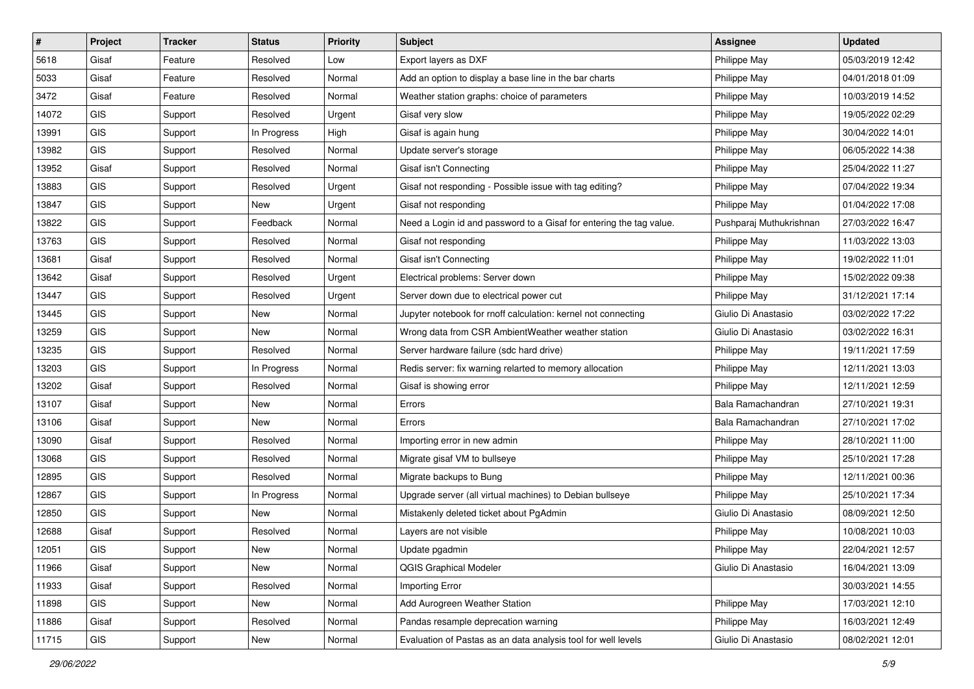| $\vert$ # | Project    | <b>Tracker</b> | <b>Status</b> | <b>Priority</b> | Subject                                                             | <b>Assignee</b>         | <b>Updated</b>   |
|-----------|------------|----------------|---------------|-----------------|---------------------------------------------------------------------|-------------------------|------------------|
| 5618      | Gisaf      | Feature        | Resolved      | Low             | Export layers as DXF                                                | Philippe May            | 05/03/2019 12:42 |
| 5033      | Gisaf      | Feature        | Resolved      | Normal          | Add an option to display a base line in the bar charts              | Philippe May            | 04/01/2018 01:09 |
| 3472      | Gisaf      | Feature        | Resolved      | Normal          | Weather station graphs: choice of parameters                        | Philippe May            | 10/03/2019 14:52 |
| 14072     | <b>GIS</b> | Support        | Resolved      | Urgent          | Gisaf very slow                                                     | Philippe May            | 19/05/2022 02:29 |
| 13991     | <b>GIS</b> | Support        | In Progress   | High            | Gisaf is again hung                                                 | Philippe May            | 30/04/2022 14:01 |
| 13982     | <b>GIS</b> | Support        | Resolved      | Normal          | Update server's storage                                             | Philippe May            | 06/05/2022 14:38 |
| 13952     | Gisaf      | Support        | Resolved      | Normal          | Gisaf isn't Connecting                                              | Philippe May            | 25/04/2022 11:27 |
| 13883     | <b>GIS</b> | Support        | Resolved      | Urgent          | Gisaf not responding - Possible issue with tag editing?             | Philippe May            | 07/04/2022 19:34 |
| 13847     | GIS        | Support        | New           | Urgent          | Gisaf not responding                                                | Philippe May            | 01/04/2022 17:08 |
| 13822     | <b>GIS</b> | Support        | Feedback      | Normal          | Need a Login id and password to a Gisaf for entering the tag value. | Pushparaj Muthukrishnan | 27/03/2022 16:47 |
| 13763     | <b>GIS</b> | Support        | Resolved      | Normal          | Gisaf not responding                                                | Philippe May            | 11/03/2022 13:03 |
| 13681     | Gisaf      | Support        | Resolved      | Normal          | Gisaf isn't Connecting                                              | Philippe May            | 19/02/2022 11:01 |
| 13642     | Gisaf      | Support        | Resolved      | Urgent          | Electrical problems: Server down                                    | Philippe May            | 15/02/2022 09:38 |
| 13447     | <b>GIS</b> | Support        | Resolved      | Urgent          | Server down due to electrical power cut                             | Philippe May            | 31/12/2021 17:14 |
| 13445     | <b>GIS</b> | Support        | New           | Normal          | Jupyter notebook for rnoff calculation: kernel not connecting       | Giulio Di Anastasio     | 03/02/2022 17:22 |
| 13259     | <b>GIS</b> | Support        | New           | Normal          | Wrong data from CSR AmbientWeather weather station                  | Giulio Di Anastasio     | 03/02/2022 16:31 |
| 13235     | <b>GIS</b> | Support        | Resolved      | Normal          | Server hardware failure (sdc hard drive)                            | Philippe May            | 19/11/2021 17:59 |
| 13203     | <b>GIS</b> | Support        | In Progress   | Normal          | Redis server: fix warning relarted to memory allocation             | Philippe May            | 12/11/2021 13:03 |
| 13202     | Gisaf      | Support        | Resolved      | Normal          | Gisaf is showing error                                              | Philippe May            | 12/11/2021 12:59 |
| 13107     | Gisaf      | Support        | New           | Normal          | Errors                                                              | Bala Ramachandran       | 27/10/2021 19:31 |
| 13106     | Gisaf      | Support        | New           | Normal          | Errors                                                              | Bala Ramachandran       | 27/10/2021 17:02 |
| 13090     | Gisaf      | Support        | Resolved      | Normal          | Importing error in new admin                                        | Philippe May            | 28/10/2021 11:00 |
| 13068     | <b>GIS</b> | Support        | Resolved      | Normal          | Migrate gisaf VM to bullseye                                        | Philippe May            | 25/10/2021 17:28 |
| 12895     | <b>GIS</b> | Support        | Resolved      | Normal          | Migrate backups to Bung                                             | Philippe May            | 12/11/2021 00:36 |
| 12867     | GIS        | Support        | In Progress   | Normal          | Upgrade server (all virtual machines) to Debian bullseye            | Philippe May            | 25/10/2021 17:34 |
| 12850     | <b>GIS</b> | Support        | New           | Normal          | Mistakenly deleted ticket about PgAdmin                             | Giulio Di Anastasio     | 08/09/2021 12:50 |
| 12688     | Gisaf      | Support        | Resolved      | Normal          | Layers are not visible                                              | Philippe May            | 10/08/2021 10:03 |
| 12051     | GIS        | Support        | New           | Normal          | Update pgadmin                                                      | Philippe May            | 22/04/2021 12:57 |
| 11966     | Gisaf      | Support        | New           | Normal          | <b>QGIS Graphical Modeler</b>                                       | Giulio Di Anastasio     | 16/04/2021 13:09 |
| 11933     | Gisaf      | Support        | Resolved      | Normal          | Importing Error                                                     |                         | 30/03/2021 14:55 |
| 11898     | <b>GIS</b> | Support        | New           | Normal          | Add Aurogreen Weather Station                                       | Philippe May            | 17/03/2021 12:10 |
| 11886     | Gisaf      | Support        | Resolved      | Normal          | Pandas resample deprecation warning                                 | Philippe May            | 16/03/2021 12:49 |
| 11715     | GIS        | Support        | New           | Normal          | Evaluation of Pastas as an data analysis tool for well levels       | Giulio Di Anastasio     | 08/02/2021 12:01 |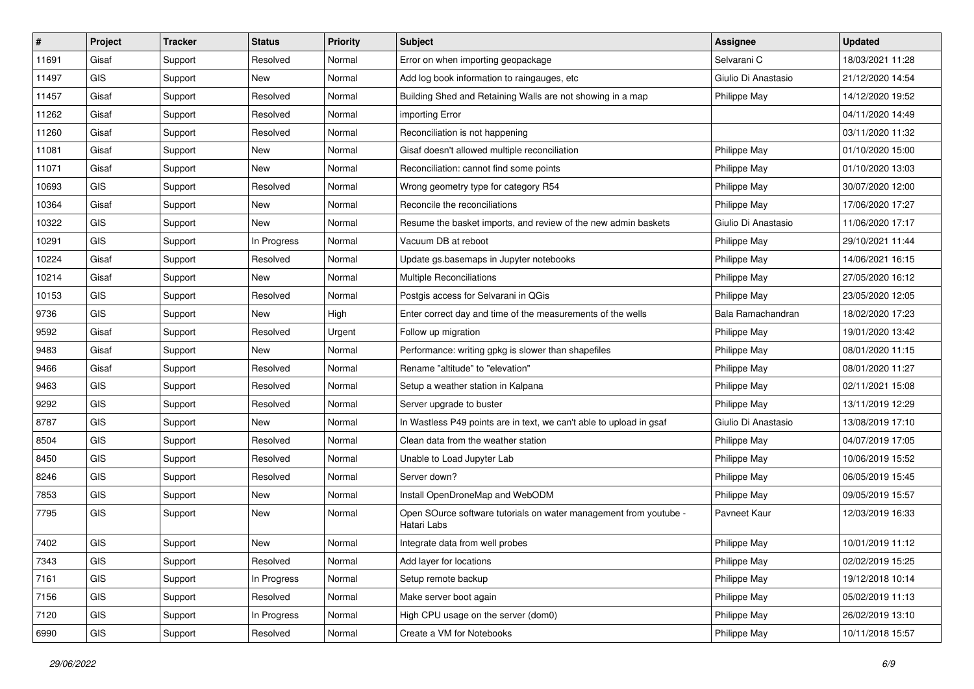| #     | Project    | <b>Tracker</b> | <b>Status</b> | Priority | <b>Subject</b>                                                                   | <b>Assignee</b>     | <b>Updated</b>   |
|-------|------------|----------------|---------------|----------|----------------------------------------------------------------------------------|---------------------|------------------|
| 11691 | Gisaf      | Support        | Resolved      | Normal   | Error on when importing geopackage                                               | Selvarani C         | 18/03/2021 11:28 |
| 11497 | <b>GIS</b> | Support        | New           | Normal   | Add log book information to raingauges, etc                                      | Giulio Di Anastasio | 21/12/2020 14:54 |
| 11457 | Gisaf      | Support        | Resolved      | Normal   | Building Shed and Retaining Walls are not showing in a map                       | Philippe May        | 14/12/2020 19:52 |
| 11262 | Gisaf      | Support        | Resolved      | Normal   | importing Error                                                                  |                     | 04/11/2020 14:49 |
| 11260 | Gisaf      | Support        | Resolved      | Normal   | Reconciliation is not happening                                                  |                     | 03/11/2020 11:32 |
| 11081 | Gisaf      | Support        | <b>New</b>    | Normal   | Gisaf doesn't allowed multiple reconciliation                                    | Philippe May        | 01/10/2020 15:00 |
| 11071 | Gisaf      | Support        | New           | Normal   | Reconciliation: cannot find some points                                          | Philippe May        | 01/10/2020 13:03 |
| 10693 | <b>GIS</b> | Support        | Resolved      | Normal   | Wrong geometry type for category R54                                             | Philippe May        | 30/07/2020 12:00 |
| 10364 | Gisaf      | Support        | <b>New</b>    | Normal   | Reconcile the reconciliations                                                    | Philippe May        | 17/06/2020 17:27 |
| 10322 | GIS        | Support        | New           | Normal   | Resume the basket imports, and review of the new admin baskets                   | Giulio Di Anastasio | 11/06/2020 17:17 |
| 10291 | <b>GIS</b> | Support        | In Progress   | Normal   | Vacuum DB at reboot                                                              | Philippe May        | 29/10/2021 11:44 |
| 10224 | Gisaf      | Support        | Resolved      | Normal   | Update gs.basemaps in Jupyter notebooks                                          | Philippe May        | 14/06/2021 16:15 |
| 10214 | Gisaf      | Support        | New           | Normal   | <b>Multiple Reconciliations</b>                                                  | Philippe May        | 27/05/2020 16:12 |
| 10153 | <b>GIS</b> | Support        | Resolved      | Normal   | Postgis access for Selvarani in QGis                                             | Philippe May        | 23/05/2020 12:05 |
| 9736  | <b>GIS</b> | Support        | New           | High     | Enter correct day and time of the measurements of the wells                      | Bala Ramachandran   | 18/02/2020 17:23 |
| 9592  | Gisaf      | Support        | Resolved      | Urgent   | Follow up migration                                                              | Philippe May        | 19/01/2020 13:42 |
| 9483  | Gisaf      | Support        | New           | Normal   | Performance: writing gpkg is slower than shapefiles                              | Philippe May        | 08/01/2020 11:15 |
| 9466  | Gisaf      | Support        | Resolved      | Normal   | Rename "altitude" to "elevation"                                                 | Philippe May        | 08/01/2020 11:27 |
| 9463  | <b>GIS</b> | Support        | Resolved      | Normal   | Setup a weather station in Kalpana                                               | Philippe May        | 02/11/2021 15:08 |
| 9292  | <b>GIS</b> | Support        | Resolved      | Normal   | Server upgrade to buster                                                         | Philippe May        | 13/11/2019 12:29 |
| 8787  | <b>GIS</b> | Support        | New           | Normal   | In Wastless P49 points are in text, we can't able to upload in gsaf              | Giulio Di Anastasio | 13/08/2019 17:10 |
| 8504  | GIS        | Support        | Resolved      | Normal   | Clean data from the weather station                                              | Philippe May        | 04/07/2019 17:05 |
| 8450  | GIS        | Support        | Resolved      | Normal   | Unable to Load Jupyter Lab                                                       | Philippe May        | 10/06/2019 15:52 |
| 8246  | <b>GIS</b> | Support        | Resolved      | Normal   | Server down?                                                                     | Philippe May        | 06/05/2019 15:45 |
| 7853  | <b>GIS</b> | Support        | New           | Normal   | Install OpenDroneMap and WebODM                                                  | Philippe May        | 09/05/2019 15:57 |
| 7795  | <b>GIS</b> | Support        | New           | Normal   | Open SOurce software tutorials on water management from youtube -<br>Hatari Labs | Pavneet Kaur        | 12/03/2019 16:33 |
| 7402  | GIS        | Support        | <b>New</b>    | Normal   | Integrate data from well probes                                                  | Philippe May        | 10/01/2019 11:12 |
| 7343  | GIS        | Support        | Resolved      | Normal   | Add layer for locations                                                          | Philippe May        | 02/02/2019 15:25 |
| 7161  | GIS        | Support        | In Progress   | Normal   | Setup remote backup                                                              | Philippe May        | 19/12/2018 10:14 |
| 7156  | GIS        | Support        | Resolved      | Normal   | Make server boot again                                                           | Philippe May        | 05/02/2019 11:13 |
| 7120  | GIS        | Support        | In Progress   | Normal   | High CPU usage on the server (dom0)                                              | Philippe May        | 26/02/2019 13:10 |
| 6990  | GIS        | Support        | Resolved      | Normal   | Create a VM for Notebooks                                                        | Philippe May        | 10/11/2018 15:57 |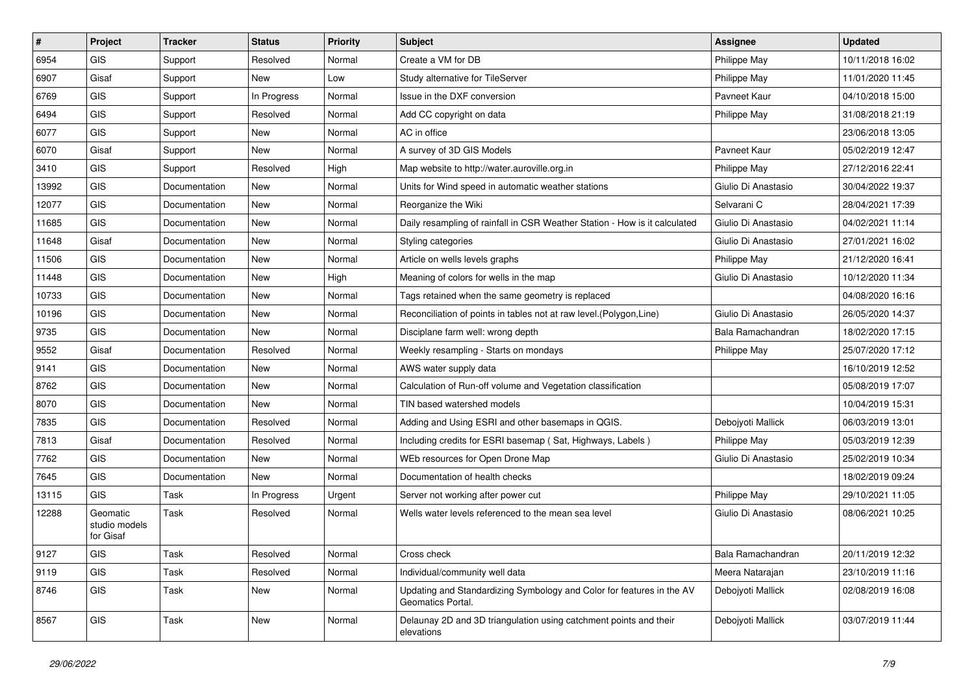| $\#$  | Project                                | <b>Tracker</b> | <b>Status</b> | <b>Priority</b> | Subject                                                                                    | Assignee            | <b>Updated</b>   |
|-------|----------------------------------------|----------------|---------------|-----------------|--------------------------------------------------------------------------------------------|---------------------|------------------|
| 6954  | GIS                                    | Support        | Resolved      | Normal          | Create a VM for DB                                                                         | Philippe May        | 10/11/2018 16:02 |
| 6907  | Gisaf                                  | Support        | New           | Low             | Study alternative for TileServer                                                           | Philippe May        | 11/01/2020 11:45 |
| 6769  | <b>GIS</b>                             | Support        | In Progress   | Normal          | Issue in the DXF conversion                                                                | Pavneet Kaur        | 04/10/2018 15:00 |
| 6494  | <b>GIS</b>                             | Support        | Resolved      | Normal          | Add CC copyright on data                                                                   | Philippe May        | 31/08/2018 21:19 |
| 6077  | <b>GIS</b>                             | Support        | New           | Normal          | AC in office                                                                               |                     | 23/06/2018 13:05 |
| 6070  | Gisaf                                  | Support        | New           | Normal          | A survey of 3D GIS Models                                                                  | Pavneet Kaur        | 05/02/2019 12:47 |
| 3410  | <b>GIS</b>                             | Support        | Resolved      | High            | Map website to http://water.auroville.org.in                                               | Philippe May        | 27/12/2016 22:41 |
| 13992 | <b>GIS</b>                             | Documentation  | New           | Normal          | Units for Wind speed in automatic weather stations                                         | Giulio Di Anastasio | 30/04/2022 19:37 |
| 12077 | <b>GIS</b>                             | Documentation  | New           | Normal          | Reorganize the Wiki                                                                        | Selvarani C         | 28/04/2021 17:39 |
| 11685 | <b>GIS</b>                             | Documentation  | New           | Normal          | Daily resampling of rainfall in CSR Weather Station - How is it calculated                 | Giulio Di Anastasio | 04/02/2021 11:14 |
| 11648 | Gisaf                                  | Documentation  | New           | Normal          | Styling categories                                                                         | Giulio Di Anastasio | 27/01/2021 16:02 |
| 11506 | <b>GIS</b>                             | Documentation  | New           | Normal          | Article on wells levels graphs                                                             | Philippe May        | 21/12/2020 16:41 |
| 11448 | <b>GIS</b>                             | Documentation  | New           | High            | Meaning of colors for wells in the map                                                     | Giulio Di Anastasio | 10/12/2020 11:34 |
| 10733 | <b>GIS</b>                             | Documentation  | New           | Normal          | Tags retained when the same geometry is replaced                                           |                     | 04/08/2020 16:16 |
| 10196 | <b>GIS</b>                             | Documentation  | <b>New</b>    | Normal          | Reconciliation of points in tables not at raw level. (Polygon, Line)                       | Giulio Di Anastasio | 26/05/2020 14:37 |
| 9735  | <b>GIS</b>                             | Documentation  | <b>New</b>    | Normal          | Disciplane farm well: wrong depth                                                          | Bala Ramachandran   | 18/02/2020 17:15 |
| 9552  | Gisaf                                  | Documentation  | Resolved      | Normal          | Weekly resampling - Starts on mondays                                                      | Philippe May        | 25/07/2020 17:12 |
| 9141  | <b>GIS</b>                             | Documentation  | New           | Normal          | AWS water supply data                                                                      |                     | 16/10/2019 12:52 |
| 8762  | <b>GIS</b>                             | Documentation  | New           | Normal          | Calculation of Run-off volume and Vegetation classification                                |                     | 05/08/2019 17:07 |
| 8070  | <b>GIS</b>                             | Documentation  | New           | Normal          | TIN based watershed models                                                                 |                     | 10/04/2019 15:31 |
| 7835  | <b>GIS</b>                             | Documentation  | Resolved      | Normal          | Adding and Using ESRI and other basemaps in QGIS.                                          | Debojyoti Mallick   | 06/03/2019 13:01 |
| 7813  | Gisaf                                  | Documentation  | Resolved      | Normal          | Including credits for ESRI basemap (Sat, Highways, Labels)                                 | Philippe May        | 05/03/2019 12:39 |
| 7762  | <b>GIS</b>                             | Documentation  | New           | Normal          | WEb resources for Open Drone Map                                                           | Giulio Di Anastasio | 25/02/2019 10:34 |
| 7645  | <b>GIS</b>                             | Documentation  | New           | Normal          | Documentation of health checks                                                             |                     | 18/02/2019 09:24 |
| 13115 | <b>GIS</b>                             | Task           | In Progress   | Urgent          | Server not working after power cut                                                         | Philippe May        | 29/10/2021 11:05 |
| 12288 | Geomatic<br>studio models<br>for Gisaf | Task           | Resolved      | Normal          | Wells water levels referenced to the mean sea level                                        | Giulio Di Anastasio | 08/06/2021 10:25 |
| 9127  | <b>GIS</b>                             | Task           | Resolved      | Normal          | Cross check                                                                                | Bala Ramachandran   | 20/11/2019 12:32 |
| 9119  | GIS                                    | Task           | Resolved      | Normal          | Individual/community well data                                                             | Meera Natarajan     | 23/10/2019 11:16 |
| 8746  | GIS                                    | Task           | New           | Normal          | Updating and Standardizing Symbology and Color for features in the AV<br>Geomatics Portal. | Debojyoti Mallick   | 02/08/2019 16:08 |
| 8567  | GIS                                    | Task           | New           | Normal          | Delaunay 2D and 3D triangulation using catchment points and their<br>elevations            | Debojyoti Mallick   | 03/07/2019 11:44 |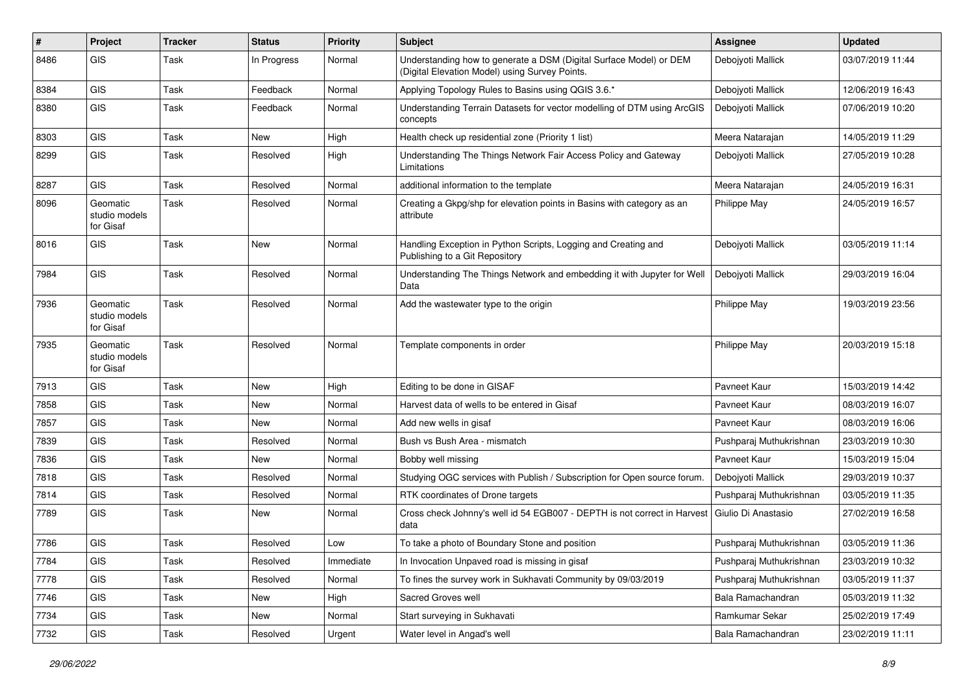| #    | Project                                | <b>Tracker</b> | <b>Status</b> | <b>Priority</b> | Subject                                                                                                              | Assignee                | <b>Updated</b>   |
|------|----------------------------------------|----------------|---------------|-----------------|----------------------------------------------------------------------------------------------------------------------|-------------------------|------------------|
| 8486 | GIS                                    | Task           | In Progress   | Normal          | Understanding how to generate a DSM (Digital Surface Model) or DEM<br>(Digital Elevation Model) using Survey Points. | Debojyoti Mallick       | 03/07/2019 11:44 |
| 8384 | GIS                                    | Task           | Feedback      | Normal          | Applying Topology Rules to Basins using QGIS 3.6.*                                                                   | Debojyoti Mallick       | 12/06/2019 16:43 |
| 8380 | GIS                                    | Task           | Feedback      | Normal          | Understanding Terrain Datasets for vector modelling of DTM using ArcGIS<br>concepts                                  | Debojyoti Mallick       | 07/06/2019 10:20 |
| 8303 | <b>GIS</b>                             | Task           | <b>New</b>    | High            | Health check up residential zone (Priority 1 list)                                                                   | Meera Natarajan         | 14/05/2019 11:29 |
| 8299 | GIS                                    | Task           | Resolved      | High            | Understanding The Things Network Fair Access Policy and Gateway<br>Limitations                                       | Deboivoti Mallick       | 27/05/2019 10:28 |
| 8287 | GIS                                    | Task           | Resolved      | Normal          | additional information to the template                                                                               | Meera Natarajan         | 24/05/2019 16:31 |
| 8096 | Geomatic<br>studio models<br>for Gisaf | Task           | Resolved      | Normal          | Creating a Gkpg/shp for elevation points in Basins with category as an<br>attribute                                  | Philippe May            | 24/05/2019 16:57 |
| 8016 | GIS                                    | Task           | <b>New</b>    | Normal          | Handling Exception in Python Scripts, Logging and Creating and<br>Publishing to a Git Repository                     | Debojyoti Mallick       | 03/05/2019 11:14 |
| 7984 | GIS                                    | Task           | Resolved      | Normal          | Understanding The Things Network and embedding it with Jupyter for Well<br>Data                                      | Debojyoti Mallick       | 29/03/2019 16:04 |
| 7936 | Geomatic<br>studio models<br>for Gisaf | Task           | Resolved      | Normal          | Add the wastewater type to the origin                                                                                | Philippe May            | 19/03/2019 23:56 |
| 7935 | Geomatic<br>studio models<br>for Gisaf | Task           | Resolved      | Normal          | Template components in order                                                                                         | Philippe May            | 20/03/2019 15:18 |
| 7913 | GIS                                    | Task           | New           | High            | Editing to be done in GISAF                                                                                          | Pavneet Kaur            | 15/03/2019 14:42 |
| 7858 | GIS                                    | Task           | <b>New</b>    | Normal          | Harvest data of wells to be entered in Gisaf                                                                         | Pavneet Kaur            | 08/03/2019 16:07 |
| 7857 | GIS                                    | Task           | New           | Normal          | Add new wells in gisaf                                                                                               | Pavneet Kaur            | 08/03/2019 16:06 |
| 7839 | GIS                                    | Task           | Resolved      | Normal          | Bush vs Bush Area - mismatch                                                                                         | Pushparaj Muthukrishnan | 23/03/2019 10:30 |
| 7836 | GIS                                    | Task           | <b>New</b>    | Normal          | Bobby well missing                                                                                                   | Pavneet Kaur            | 15/03/2019 15:04 |
| 7818 | GIS                                    | Task           | Resolved      | Normal          | Studying OGC services with Publish / Subscription for Open source forum.                                             | Debojyoti Mallick       | 29/03/2019 10:37 |
| 7814 | GIS                                    | Task           | Resolved      | Normal          | RTK coordinates of Drone targets                                                                                     | Pushparaj Muthukrishnan | 03/05/2019 11:35 |
| 7789 | <b>GIS</b>                             | Task           | New           | Normal          | Cross check Johnny's well id 54 EGB007 - DEPTH is not correct in Harvest<br>data                                     | Giulio Di Anastasio     | 27/02/2019 16:58 |
| 7786 | GIS                                    | Task           | Resolved      | Low             | To take a photo of Boundary Stone and position                                                                       | Pushparaj Muthukrishnan | 03/05/2019 11:36 |
| 7784 | GIS                                    | Task           | Resolved      | Immediate       | In Invocation Unpaved road is missing in gisaf                                                                       | Pushparaj Muthukrishnan | 23/03/2019 10:32 |
| 7778 | GIS                                    | Task           | Resolved      | Normal          | To fines the survey work in Sukhavati Community by 09/03/2019                                                        | Pushparaj Muthukrishnan | 03/05/2019 11:37 |
| 7746 | GIS                                    | Task           | New           | High            | Sacred Groves well                                                                                                   | Bala Ramachandran       | 05/03/2019 11:32 |
| 7734 | GIS                                    | Task           | New           | Normal          | Start surveying in Sukhavati                                                                                         | Ramkumar Sekar          | 25/02/2019 17:49 |
| 7732 | GIS                                    | Task           | Resolved      | Urgent          | Water level in Angad's well                                                                                          | Bala Ramachandran       | 23/02/2019 11:11 |